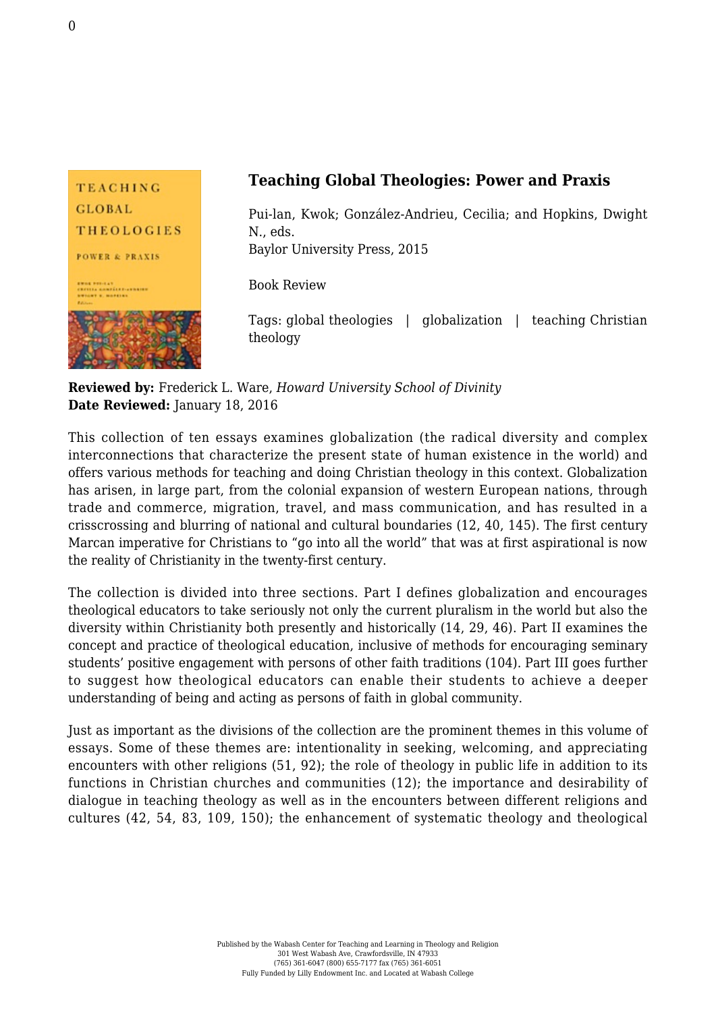

**Reviewed by:** Frederick L. Ware, *Howard University School of Divinity* **Date Reviewed:** January 18, 2016

This collection of ten essays examines globalization (the radical diversity and complex interconnections that characterize the present state of human existence in the world) and offers various methods for teaching and doing Christian theology in this context. Globalization has arisen, in large part, from the colonial expansion of western European nations, through trade and commerce, migration, travel, and mass communication, and has resulted in a crisscrossing and blurring of national and cultural boundaries (12, 40, 145). The first century Marcan imperative for Christians to "go into all the world" that was at first aspirational is now the reality of Christianity in the twenty-first century.

The collection is divided into three sections. Part I defines globalization and encourages theological educators to take seriously not only the current pluralism in the world but also the diversity within Christianity both presently and historically (14, 29, 46). Part II examines the concept and practice of theological education, inclusive of methods for encouraging seminary students' positive engagement with persons of other faith traditions (104). Part III goes further to suggest how theological educators can enable their students to achieve a deeper understanding of being and acting as persons of faith in global community.

Just as important as the divisions of the collection are the prominent themes in this volume of essays. Some of these themes are: intentionality in seeking, welcoming, and appreciating encounters with other religions (51, 92); the role of theology in public life in addition to its functions in Christian churches and communities (12); the importance and desirability of dialogue in teaching theology as well as in the encounters between different religions and cultures (42, 54, 83, 109, 150); the enhancement of systematic theology and theological